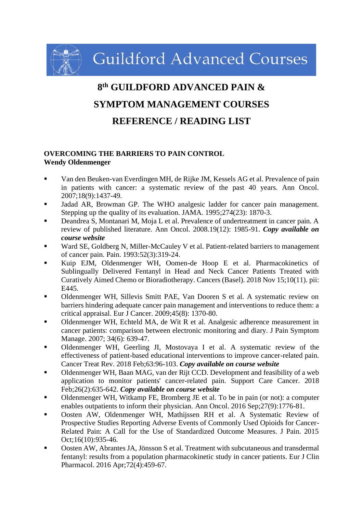**Guildford Advanced Courses** 

# **8 th GUILDFORD ADVANCED PAIN & SYMPTOM MANAGEMENT COURSES REFERENCE / READING LIST**

#### **OVERCOMING THE BARRIERS TO PAIN CONTROL Wendy Oldenmenger**

- Van den Beuken-van Everdingen MH, de Rijke JM, Kessels AG et al. Prevalence of pain in patients with cancer: a systematic review of the past 40 years. Ann Oncol. 2007;18(9):1437-49.
- Jadad AR, Browman GP. The WHO analgesic ladder for cancer pain management. Stepping up the quality of its evaluation. JAMA. 1995;274(23): 1870-3.
- Deandrea S, Montanari M, Moja L et al. Prevalence of undertreatment in cancer pain. A review of published literature. Ann Oncol. 2008.19(12): 1985-91. *Copy available on course website*
- Ward SE, Goldberg N, Miller-McCauley V et al. Patient-related barriers to management of cancer pain. Pain. 1993:52(3):319-24.
- Kuip EJM, Oldenmenger WH, Oomen-de Hoop E et al. Pharmacokinetics of Sublingually Delivered Fentanyl in Head and Neck Cancer Patients Treated with Curatively Aimed Chemo or Bioradiotherapy. Cancers (Basel). 2018 Nov 15;10(11). pii: E445.
- Oldenmenger WH, Sillevis Smitt PAE, Van Dooren S et al. A systematic review on barriers hindering adequate cancer pain management and interventions to reduce them: a critical appraisal. Eur J Cancer. 2009;45(8): 1370-80.
- Oldenmenger WH, Echteld MA, de Wit R et al. Analgesic adherence measurement in cancer patients: comparison between electronic monitoring and diary. J Pain Symptom Manage. 2007; 34(6): 639-47.
- Oldenmenger WH, Geerling JI, Mostovaya I et al. A systematic review of the effectiveness of patient-based educational interventions to improve cancer-related pain. Cancer Treat Rev. 2018 Feb;63:96-103. *Copy available on course website*
- Oldenmenger WH, Baan MAG, van der Rijt CCD. Development and feasibility of a web application to monitor patients' cancer-related pain. Support Care Cancer. 2018 Feb;26(2):635-642. *Copy available on course website*
- Oldenmenger WH, Witkamp FE, Bromberg JE et al. To be in pain (or not): a computer enables outpatients to inform their physician. Ann Oncol. 2016 Sep;27(9):1776-81.
- Oosten AW, Oldenmenger WH, Mathijssen RH et al. A Systematic Review of Prospective Studies Reporting Adverse Events of Commonly Used Opioids for Cancer-Related Pain: A Call for the Use of Standardized Outcome Measures. J Pain. 2015 Oct;16(10):935-46.
- Oosten AW, Abrantes JA, Jönsson S et al. Treatment with subcutaneous and transdermal fentanyl: results from a population pharmacokinetic study in cancer patients. Eur J Clin Pharmacol. 2016 Apr;72(4):459-67.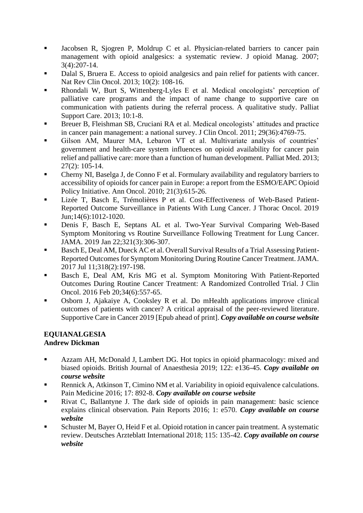- Jacobsen R, Sjogren P, Moldrup C et al. Physician-related barriers to cancer pain management with opioid analgesics: a systematic review. J opioid Manag. 2007; 3(4):207-14.
- Dalal S, Bruera E. Access to opioid analgesics and pain relief for patients with cancer. Nat Rev Clin Oncol. 2013; 10(2): 108-16.
- Rhondali W, Burt S, Wittenberg-Lyles E et al. Medical oncologists' perception of palliative care programs and the impact of name change to supportive care on communication with patients during the referral process. A qualitative study. Palliat Support Care. 2013; 10:1-8.
- Breuer B, Fleishman SB, Cruciani RA et al. Medical oncologists' attitudes and practice in cancer pain management: a national survey. J Clin Oncol. 2011; 29(36):4769-75.
- Gilson AM, Maurer MA, Lebaron VT et al. Multivariate analysis of countries' government and health-care system influences on opioid availability for cancer pain relief and palliative care: more than a function of human development. Palliat Med. 2013; 27(2): 105-14.
- Cherny NI, Baselga J, de Conno F et al. Formulary availability and regulatory barriers to accessibility of opioids for cancer pain in Europe: a report from the ESMO/EAPC Opioid Policy Initiative. Ann Oncol. 2010; 21(3):615-26.
- Lizée T, Basch E, Trémolières P et al. Cost-Effectiveness of Web-Based Patient-Reported Outcome Surveillance in Patients With Lung Cancer. J Thorac Oncol. 2019 Jun;14(6):1012-1020.
- Denis F, Basch E, Septans AL et al. Two-Year Survival Comparing Web-Based Symptom Monitoring vs Routine Surveillance Following Treatment for Lung Cancer. JAMA. 2019 Jan 22;321(3):306-307.
- Basch E, Deal AM, Dueck AC et al. Overall Survival Results of a Trial Assessing Patient-Reported Outcomes for Symptom Monitoring During Routine Cancer Treatment. JAMA. 2017 Jul 11;318(2):197-198.
- Basch E, Deal AM, Kris MG et al. Symptom Monitoring With Patient-Reported Outcomes During Routine Cancer Treatment: A Randomized Controlled Trial. J Clin Oncol. 2016 Feb 20;34(6):557-65.
- Osborn J, Ajakaiye A, Cooksley R et al. Do mHealth applications improve clinical outcomes of patients with cancer? A critical appraisal of the peer-reviewed literature. Supportive Care in Cancer 2019 [Epub ahead of print]. *Copy available on course website*

# **EQUIANALGESIA**

# **Andrew Dickman**

- Azzam AH, McDonald J, Lambert DG. Hot topics in opioid pharmacology: mixed and biased opioids. British Journal of Anaesthesia 2019; 122: e136-45. *Copy available on course website*
- Rennick A, Atkinson T, Cimino NM et al. Variability in opioid equivalence calculations. Pain Medicine 2016; 17: 892-8. *Copy available on course website*
- Rivat C, Ballantyne J. The dark side of opioids in pain management: basic science explains clinical observation. Pain Reports 2016; 1: e570. *Copy available on course website*
- Schuster M, Bayer O, Heid F et al. Opioid rotation in cancer pain treatment. A systematic review. Deutsches Arzteblatt International 2018; 115: 135-42. *Copy available on course website*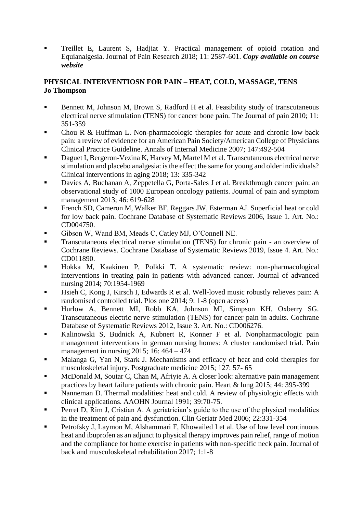Treillet E, Laurent S, Hadjiat Y. Practical management of opioid rotation and Equianalgesia. Journal of Pain Research 2018; 11: 2587-601. *Copy available on course website*

# **PHYSICAL INTERVENTIOSN FOR PAIN – HEAT, COLD, MASSAGE, TENS Jo Thompson**

- Bennett M, Johnson M, Brown S, Radford H et al. Feasibility study of transcutaneous electrical nerve stimulation (TENS) for cancer bone pain. The Journal of pain 2010; 11: 351-359
- Chou R  $\&$  Huffman L. Non-pharmacologic therapies for acute and chronic low back pain: a review of evidence for an American Pain Society/American College of Physicians Clinical Practice Guideline. Annals of Internal Medicine 2007; 147:492-504
- Daguet I, Bergeron-Vezina K, Harvey M, Martel M et al. Transcutaneous electrical nerve stimulation and placebo analgesia: is the effect the same for young and older individuals? Clinical interventions in aging 2018; 13: 335-342
- Davies A, Buchanan A, Zeppetella G, Porta-Sales J et al. Breakthrough cancer pain: an observational study of 1000 European oncology patients. Journal of pain and symptom management 2013; 46: 619-628
- French SD, Cameron M, Walker BF, Reggars JW, Esterman AJ. Superficial heat or cold for low back pain. Cochrane Database of Systematic Reviews 2006, Issue 1. Art. No.: CD004750.
- Gibson W, Wand BM, Meads C, Catley MJ, O'Connell NE.
- Transcutaneous electrical nerve stimulation (TENS) for chronic pain an overview of Cochrane Reviews. Cochrane Database of Systematic Reviews 2019, Issue 4. Art. No.: CD011890.
- Hokka M, Kaakinen P, Polkki T. A systematic review: non-pharmacological interventions in treating pain in patients with advanced cancer. Journal of advanced nursing 2014; 70:1954-1969
- Hsieh C, Kong J, Kirsch I, Edwards R et al. Well-loved music robustly relieves pain: A randomised controlled trial. Plos one 2014; 9: 1-8 (open access)
- Hurlow A, Bennett MI, Robb KA, Johnson MI, Simpson KH, Oxberry SG. Transcutaneous electric nerve stimulation (TENS) for cancer pain in adults. Cochrane Database of Systematic Reviews 2012, Issue 3. Art. No.: CD006276.
- Kalinowski S, Budnick A, Kubnert R, Konner F et al. Nonpharmacologic pain management interventions in german nursing homes: A cluster randomised trial. Pain management in nursing 2015; 16: 464 – 474
- Malanga G, Yan N, Stark J. Mechanisms and efficacy of heat and cold therapies for musculoskeletal injury. Postgraduate medicine 2015; 127: 57- 65
- McDonald M, Soutar C, Chan M, Afriyie A. A closer look: alternative pain management practices by heart failure patients with chronic pain. Heart & lung 2015; 44: 395-399
- Nanneman D. Thermal modalities: heat and cold. A review of physiologic effects with clinical applications. AAOHN Journal 1991; 39:70-75.
- **•** Perret D, Rim J, Cristian A. A geriatrician's guide to the use of the physical modalities in the treatment of pain and dysfunction. Clin Geriatr Med 2006; 22:331-354
- Petrofsky J, Laymon M, Alshammari F, Khowailed I et al. Use of low level continuous heat and ibuprofen as an adjunct to physical therapy improves pain relief, range of motion and the compliance for home exercise in patients with non-specific neck pain. Journal of back and musculoskeletal rehabilitation 2017; 1:1-8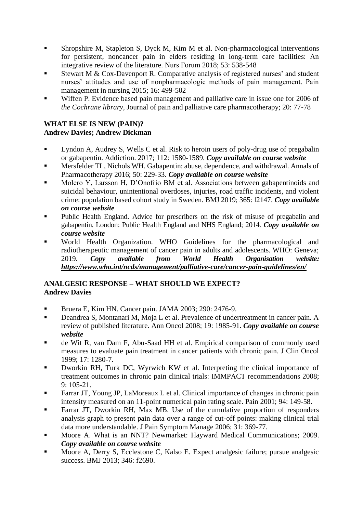- Shropshire M, Stapleton S, Dyck M, Kim M et al. Non-pharmacological interventions for persistent, noncancer pain in elders residing in long-term care facilities: An integrative review of the literature. Nurs Forum 2018; 53: 538-548
- Stewart M & Cox-Davenport R. Comparative analysis of registered nurses' and student nurses' attitudes and use of nonpharmacologic methods of pain management. Pain management in nursing 2015; 16: 499-502
- Wiffen P. Evidence based pain management and palliative care in issue one for 2006 of *the Cochrane library,* Journal of pain and palliative care pharmacotherapy; 20: 77-78

#### **WHAT ELSE IS NEW (PAIN)? Andrew Davies; Andrew Dickman**

- Lyndon A, Audrey S, Wells C et al. Risk to heroin users of poly-drug use of pregabalin or gabapentin. Addiction. 2017; 112: 1580-1589. *Copy available on course website*
- Mersfelder TL, Nichols WH. Gabapentin: abuse, dependence, and withdrawal. Annals of Pharmacotherapy 2016; 50: 229-33. *Copy available on course website*
- Molero Y, Larsson H, D'Onofrio BM et al. Associations between gabapentinoids and suicidal behaviour, unintentional overdoses, injuries, road traffic incidents, and violent crime: population based cohort study in Sweden. BMJ 2019; 365: l2147. *Copy available on course website*
- **•** Public Health England. Advice for prescribers on the risk of misuse of pregabalin and gabapentin. London: Public Health England and NHS England; 2014. *Copy available on course website*
- World Health Organization. WHO Guidelines for the pharmacological and radiotherapeutic management of cancer pain in adults and adolescents. WHO: Geneva; 2019. *Copy available from World Health Organisation website: <https://www.who.int/ncds/management/palliative-care/cancer-pain-guidelines/en/>*

# **ANALGESIC RESPONSE – WHAT SHOULD WE EXPECT? Andrew Davies**

- Bruera E, Kim HN. Cancer pain. JAMA 2003; 290: 2476-9.
- Deandrea S, Montanari M, Moja L et al. Prevalence of undertreatment in cancer pain. A review of published literature. Ann Oncol 2008; 19: 1985-91. *Copy available on course website*
- de Wit R, van Dam F, Abu-Saad HH et al. Empirical comparison of commonly used measures to evaluate pain treatment in cancer patients with chronic pain. J Clin Oncol 1999; 17: 1280-7.
- Dworkin RH, Turk DC, Wyrwich KW et al. Interpreting the clinical importance of treatment outcomes in chronic pain clinical trials: IMMPACT recommendations 2008; 9: 105-21.
- Farrar JT, Young JP, LaMoreaux L et al. Clinical importance of changes in chronic pain intensity measured on an 11-point numerical pain rating scale. Pain 2001; 94: 149-58.
- Farrar JT, Dworkin RH, Max MB. Use of the cumulative proportion of responders analysis graph to present pain data over a range of cut-off points: making clinical trial data more understandable. J Pain Symptom Manage 2006; 31: 369-77.
- Moore A. What is an NNT? Newmarket: Hayward Medical Communications; 2009. *Copy available on course website*
- Moore A, Derry S, Ecclestone C, Kalso E. Expect analgesic failure; pursue analgesic success. BMJ 2013; 346: f2690.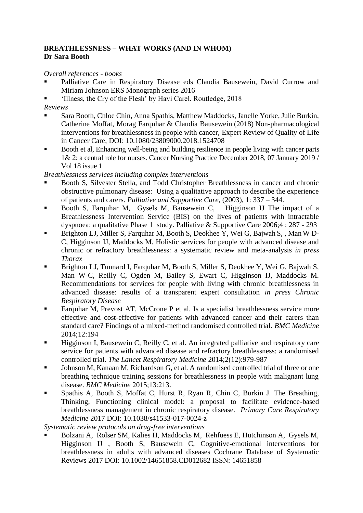#### **BREATHLESSNESS – WHAT WORKS (AND IN WHOM) Dr Sara Booth**

*Overall references - books*

- Palliative Care in Respiratory Disease eds Claudia Bausewein, David Currow and Miriam Johnson ERS Monograph series 2016
- 'Illness, the Cry of the Flesh' by Havi Carel. Routledge, 2018

*Reviews* 

- Sara Booth, Chloe Chin, Anna Spathis, Matthew Maddocks, Janelle Yorke, Julie Burkin, Catherine Moffat, Morag Farquhar & Claudia Bausewein (2018) Non-pharmacological interventions for breathlessness in people with cancer, Expert Review of Quality of Life in Cancer Care, DOI: [10.1080/23809000.2018.1524708](https://doi.org/10.1080/23809000.2018.1524708)
- Booth et al, Enhancing well-being and building resilience in people living with cancer parts 1& 2: a central role for nurses. Cancer Nursing Practice December 2018, 07 January 2019 / Vol 18 issue 1

*Breathlessness services including complex interventions*

- Booth S, Silvester Stella, and Todd Christopher Breathlessness in cancer and chronic obstructive pulmonary disease: Using a qualitative approach to describe the experience of patients and carers*. Palliative and Supportive Care*, (2003), **1**: 337 – 344.
- Booth S, Farquhar M, Gysels M, Bausewein C, Higginson IJ The impact of a Breathlessness Intervention Service (BIS) on the lives of patients with intractable dyspnoea: a qualitative Phase 1 study. Palliative & Supportive Care 2006;4 : 287 - 293
- Brighton LJ, Miller S, Farquhar M, Booth S, Deokhee Y, Wei G, Bajwah S, , Man W D-C, Higginson IJ, Maddocks M. Holistic services for people with advanced disease and chronic or refractory breathlessness: a systematic review and meta-analysis *in press Thorax*
- Brighton LJ, Tunnard I, Farquhar M, Booth S, Miller S, Deokhee Y, Wei G, Bajwah S, Man W-C, Reilly C, Ogden M, Bailey S, Ewart C, Higginson IJ, Maddocks M. Recommendations for services for people with living with chronic breathlessness in advanced disease: results of a transparent expert consultation *in press Chronic Respiratory Disease*
- Farquhar M, Prevost AT, McCrone P et al. Is a specialist breathlessness service more effective and cost-effective for patients with advanced cancer and their carers than standard care? Findings of a mixed-method randomised controlled trial. *BMC Medicine* 2014;12:194
- Higginson I, Bausewein C, Reilly C, et al. An integrated palliative and respiratory care service for patients with advanced disease and refractory breathlessness: a randomised controlled trial. *The Lancet Respiratory Medicine* 2014;2(12):979-987
- Johnson M, Kanaan M, Richardson G, et al. A randomised controlled trial of three or one breathing technique training sessions for breathlessness in people with malignant lung disease. *BMC Medicine* 2015;13:213.
- Spathis A, Booth S, Moffat C, Hurst R, Ryan R, Chin C, Burkin J. The Breathing, Thinking, Functioning clinical model: a proposal to facilitate evidence-based breathlessness management in chronic respiratory disease. *Primary Care Respiratory Medicine* 2017 DOI: 10.1038/s41533-017-0024-z

*Systematic review protocols on drug-free interventions* 

Bolzani A, Rolser SM, Kalies H, Maddocks M, Rehfuess E, Hutchinson A, Gysels M, Higginson IJ, Booth S, Bausewein C, Cognitive-emotional interventions for breathlessness in adults with advanced diseases Cochrane Database of Systematic Reviews 2017 DOI: 10.1002/14651858.CD012682 ISSN: 14651858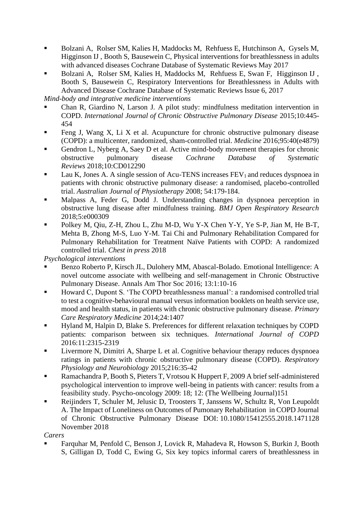- Bolzani A, Rolser SM, Kalies H, Maddocks M, Rehfuess E, Hutchinson A, Gysels M, Higginson IJ , Booth S, Bausewein C, Physical interventions for breathlessness in adults with advanced diseases Cochrane Database of Systematic Reviews May 2017
- Bolzani A, Rolser SM, Kalies H, Maddocks M, Rehfuess E, Swan F, Higginson IJ , Booth S, Bausewein C, Respiratory Interventions for Breathlessness in Adults with Advanced Disease Cochrane Database of Systematic Reviews Issue 6, 2017

*Mind-body and integrative medicine interventions* 

- Chan R, Giardino N, Larson J. A pilot study: mindfulness meditation intervention in COPD. *International Journal of Chronic Obstructive Pulmonary Disease* 2015;10:445- 454
- Feng J, Wang X, Li X et al. Acupuncture for chronic obstructive pulmonary disease (COPD): a multicenter, randomized, sham-controlled trial. *Medicine* 2016;95:40(e4879)
- Gendron L, Nyberg A, Saey D et al. Active mind-body movement therapies for chronic obstructive pulmonary disease *Cochrane Database of Systematic Reviews* 2018;10:CD012290
- Lau K, Jones A. A single session of Acu-TENS increases  $FEV<sub>1</sub>$  and reduces dyspnoea in patients with chronic obstructive pulmonary disease: a randomised, placebo-controlled trial. *Australian Journal of Physiotherapy* 2008; 54:179-184.
- Malpass A, Feder G, Dodd J. Understanding changes in dyspnoea perception in obstructive lung disease after mindfulness training. *BMJ Open Respiratory Research* 2018;5:e000309
- Polkey M, Qiu, Z-H, Zhou L, Zhu M-D, Wu Y-X Chen Y-Y, Ye S-P, Jian M, He B-T, Mehta B, Zhong M-S, Luo Y-M. Tai Chi and Pulmonary Rehabilitation Compared for Pulmonary Rehabilitation for Treatment Naïve Patients with COPD: A randomized controlled trial. *Chest in press* 2018

*Psychological interventions*

- Benzo Roberto P, Kirsch JL, Dulohery MM, Abascal-Bolado. Emotional Intelligence: A novel outcome associate with wellbeing and self-management in Chronic Obstructive Pulmonary Disease. Annals Am Thor Soc 2016; 13:1:10-16
- Howard C, Dupont S. 'The COPD breathlessness manual': a randomised controlled trial to test a cognitive-behavioural manual versus information booklets on health service use, mood and health status, in patients with chronic obstructive pulmonary disease. *Primary Care Respiratory Medicine* 2014;24:1407
- Hyland M, Halpin D, Blake S. Preferences for different relaxation techniques by COPD patients: comparison between six techniques. *International Journal of COPD* 2016:11:2315-2319
- Livermore N, Dimitri A, Sharpe L et al. Cognitive behaviour therapy reduces dyspnoea ratings in patients with chronic obstructive pulmonary disease (COPD). *Respiratory Physiology and Neurobiology* 2015;216:35-42
- Ramachandra P, Booth S, Pieters T, Vrotsou K Huppert F, 2009 A brief self-administered psychological intervention to improve well-being in patients with cancer: results from a feasibility study. Psycho-oncology 2009: 18; 12: (The Wellbeing Journal)151
- Reijinders T, Schuler M, Jelusic D, Troosters T, Janssens W, Schultz R, Von Leupoldt A. The Impact of Loneliness on Outcomes of Pumonary Rehabilitation in COPD Journal of Chronic Obstructive Pulmonary Disease DOI: 10.1080/15412555.2018.1471128 November 2018

*Carers* 

▪ Farquhar M, Penfold C, Benson J, Lovick R, Mahadeva R, Howson S, Burkin J, Booth S, Gilligan D, Todd C, Ewing G, Six key topics informal carers of breathlessness in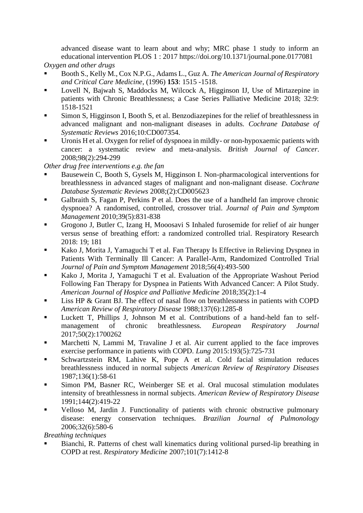advanced disease want to learn about and why; MRC phase 1 study to inform an educational intervention PLOS 1 : 2017 https://doi.org/10.1371/journal.pone.0177081

*Oxygen and other drugs*

- Booth S., Kelly M., Cox N.P.G., Adams L., Guz A. *The American Journal of Respiratory and Critical Care Medicine*, (1996) **153**: 1515 -1518.
- Lovell N, Bajwah S, Maddocks M, Wilcock A, Higginson IJ, Use of Mirtazepine in patients with Chronic Breathlessness; a Case Series Palliative Medicine 2018; 32:9: 1518-1521
- Simon S, Higginson I, Booth S, et al. Benzodiazepines for the relief of breathlessness in advanced malignant and non-malignant diseases in adults. *Cochrane Database of Systematic Reviews* 2016;10:CD007354.
- Uronis H et al. Oxygen for relief of dyspnoea in mildly- or non-hypoxaemic patients with cancer: a systematic review and meta-analysis. *British Journal of Cancer*. 2008;98(2):294-299

*Other drug free interventions e.g. the fan*

- Bausewein C, Booth S, Gysels M, Higginson I. Non-pharmacological interventions for breathlessness in advanced stages of malignant and non-malignant disease*. Cochrane Database Systematic Reviews* 2008;(2):CD005623
- Galbraith S, Fagan P, Perkins P et al. Does the use of a handheld fan improve chronic dyspnoea? A randomised, controlled, crossover trial. *Journal of Pain and Symptom Management* 2010;39(5):831-838
- Grogono J, Butler C, Izang H, Mooosavi S Inhaled furosemide for relief of air hunger versus sense of breathing effort: a randomized controlled trial. Respiratory Research 2018: 19; 181
- Kako J, Morita J, Yamaguchi T et al. Fan Therapy Is Effective in Relieving Dyspnea in Patients With Terminally Ill Cancer: A Parallel-Arm, Randomized Controlled Trial *Journal of Pain and Symptom Management* 2018;56(4):493-500
- Kako J, Morita J, Yamaguchi T et al. Evaluation of the Appropriate Washout Period Following Fan Therapy for Dyspnea in Patients With Advanced Cancer: A Pilot Study. *American Journal of Hospice and Palliative Medicine* 2018;35(2):1-4
- Liss HP & Grant BJ. The effect of nasal flow on breathlessness in patients with COPD *American Review of Respiratory Disease* 1988;137(6):1285-8
- Luckett T, Phillips J, Johnson M et al. Contributions of a hand-held fan to selfmanagement of chronic breathlessness. *European Respiratory Journal* 2017;50(2):1700262
- **■** Marchetti N, Lammi M, Travaline J et al. Air current applied to the face improves exercise performance in patients with COPD. *Lung* 2015:193(5):725-731
- Schwartzstein RM, Lahive K, Pope A et al. Cold facial stimulation reduces breathlessness induced in normal subjects *American Review of Respiratory Diseases* 1987;136(1):58-61
- Simon PM, Basner RC, Weinberger SE et al. Oral mucosal stimulation modulates intensity of breathlessness in normal subjects*. American Review of Respiratory Disease* 1991;144(2):419-22
- Velloso M, Jardin J. Functionality of patients with chronic obstructive pulmonary disease: energy conservation techniques. *Brazilian Journal of Pulmonology* 2006;32(6):580-6

*Breathing techniques*

Bianchi, R. Patterns of chest wall kinematics during volitional pursed-lip breathing in COPD at rest. *Respiratory Medicine* 2007;101(7):1412-8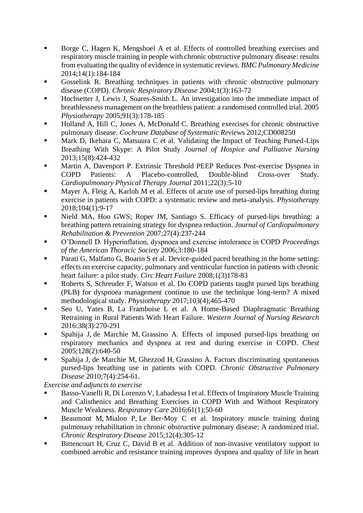- Borge C, Hagen K, Mengshoel A et al. Effects of controlled breathing exercises and respiratory muscle training in people with chronic obstructive pulmonary disease: results from evaluating the quality of evidence in systematic reviews. *BMC Pulmonary Medicine* 2014;14(1):184-184
- Gosselink R. Breathing techniques in patients with chronic obstructive pulmonary disease (COPD). *Chronic Respiratory Disease* 2004;1(3):163-72
- Hochsetter J, Lewis J, Soares-Smith L. An investigation into the immediate impact of breathlessness management on the breathless patient: a randomised controlled trial. 2005 *Physiotherapy* 2005;91(3):178-185
- Holland A, Hill C, Jones A, McDonald C. Breathing exercises for chronic obstructive pulmonary disease. *Cochrane Database of Systematic Review*s 2012;CD008250
- Mark D, Ikehara C, Matsuura C et al. Validating the Impact of Teaching Pursed-Lips Breathing With Skype: A Pilot Study *Journal of Hospice and Palliative Nursing* 2013;15(8):424-432
- Martin A, Davenport P. Extrinsic Threshold PEEP Reduces Post-exercise Dyspnea in COPD Patients: A Placebo-controlled, Double-blind Cross-over Study. *Cardiopulmonary Physical Therapy Journal* 2011;22(3):5-10
- Mayer A, Fleig A, Karloh M et al. Effects of acute use of pursed-lips breathing during exercise in patients with COPD: a systematic review and meta-analysis. *Physiotherapy* 2018;104(1):9-17
- Nield MA, Hoo GWS; Roper JM, Santiago S. Efficacy of pursed-lips breathing: a breathing pattern retraining strategy for dyspnea reduction. *Journal of Cardiopulmonary Rehabilitation & Prevention* 2007;27(4):237-244
- O'Donnell D. Hyperinflation, dyspnoea and exercise intolerance in COPD *Proceedings of the American Thoracic Society* 2006;3:180-184
- Parati G, Malfatto G, Boarin S et al. Device-guided paced breathing in the home setting: effects on exercise capacity, pulmonary and ventricular function in patients with chronic heart failure: a pilot study. *Circ Heart Failure* 2008;1(3)178-83
- Roberts S, Schreuder F, Watson et al. Do COPD patients taught pursed lips breathing (PLB) for dyspnoea management continue to use the technique long-term? A mixed methodological study. *Physiotherapy* 2017;103(4);465-470
- Seo U, Yates B, La Framboise L et al. A Home-Based Diaphragmatic Breathing Retraining in Rural Patients With Heart Failure. *Western Journal of Nursing Research* 2016:38(3):270-291
- Spahija J, de Marchie M, Grassino A. Effects of imposed pursed-lips breathing on respiratory mechanics and dyspnea at rest and during exercise in COPD. *Chest* 2005;128(2):640-50
- Spahija J, de Marchie M, Ghezzod H, Grassino A. Factors discriminating spontaneous pursed-lips breathing use in patients with COPD. *Chronic Obstructive Pulmonary Disease* 2010;7(4):254-61.

*Exercise and adjuncts to exercise*

- Basso-Vanelli R, Di Lorenzo V, Labadessa I et al. Effects of Inspiratory Muscle Training and Calisthenics and Breathing Exercises in COPD With and Without Respiratory Muscle Weakness. *Respiratory Care* 2016;61(1);50-60
- Beaumont M, Mialon P, Le Ber-Moy C et al. Inspiratory muscle training during pulmonary rehabilitation in chronic obstructive pulmonary disease: A randomized trial. *Chronic Respiratory Disease* 2015;12(4);305-12
- Bittencourt H, Cruz C, David B et al. Addition of non-invasive ventilatory support to combined aerobic and resistance training improves dyspnea and quality of life in heart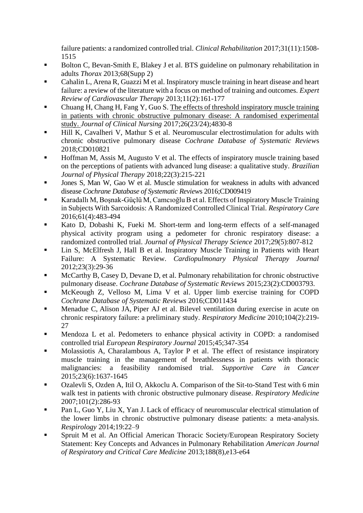failure patients: a randomized controlled trial. *Clinical Rehabilitation* 2017;31(11):1508- 1515

- Bolton C, Bevan-Smith E, Blakey J et al. BTS guideline on pulmonary rehabilitation in adults *Thorax* 2013;68(Supp 2)
- Cahalin L, Arena R, Guazzi M et al. Inspiratory muscle training in heart disease and heart failure: a review of the literature with a focus on method of training and outcomes. *Expert Review of Cardiovascular Therapy* 2013;11(2):161-177
- Chuang H, Chang H, Fang Y, Guo S. The effects of threshold inspiratory muscle training in patients with chronic obstructive pulmonary disease: A randomised experimental study. *Journal of Clinical Nursing* 2017;26(23/24);4830-8
- Hill K, Cavalheri V, Mathur S et al. Neuromuscular electrostimulation for adults with chronic obstructive pulmonary disease *Cochrane Database of Systematic Review*s 2018;CD010821
- Hoffman M, Assis M, Augusto V et al. The effects of inspiratory muscle training based on the perceptions of patients with advanced lung disease: a qualitative study. *Brazilian Journal of Physical Therapy* 2018;22(3):215-221
- Jones S, Man W, Gao W et al. Muscle stimulation for weakness in adults with advanced disease *Cochrane Database of Systematic Review*s 2016;CD009419
- Karadallı M, Bosnak-Güçlü M, Camcıoğlu B et al. Effects of Inspiratory Muscle Training in Subjects With Sarcoidosis: A Randomized Controlled Clinical Trial. *Respiratory Care* 2016;61(4):483-494
- Kato D, Dobashi K, Fueki M. Short-term and long-term effects of a self-managed physical activity program using a pedometer for chronic respiratory disease: a randomized controlled trial. *Journal of Physical Therapy Science* 2017;29(5):807-812
- Lin S, McElfresh J, Hall B et al. Inspiratory Muscle Training in Patients with Heart Failure: A Systematic Review. *Cardiopulmonary Physical Therapy Journal* 2012;23(3):29-36
- McCarthy B, Casey D, Devane D, et al. Pulmonary rehabilitation for chronic obstructive pulmonary disease. *Cochrane Database of Systematic Reviews* 2015;23(2):CD003793.
- McKeough Z, Velloso M, Lima V et al. Upper limb exercise training for COPD *Cochrane Database of Systematic Reviews* 2016;CD011434
- Menadue C, Alison JA, Piper AJ et al. Bilevel ventilation during exercise in acute on chronic respiratory failure: a preliminary study. *Respiratory Medicine* 2010;104(2):219- 27
- Mendoza L et al. Pedometers to enhance physical activity in COPD: a randomised controlled trial *European Respiratory Journal* 2015;45;347-354
- Molassiotis A, Charalambous A, Taylor P et al. The effect of resistance inspiratory muscle training in the management of breathlessness in patients with thoracic malignancies: a feasibility randomised trial. *Supportive Care in Cancer* 2015;23(6):1637-1645
- Ozalevli S, Ozden A, Itil O, Akkoclu A. Comparison of the Sit-to-Stand Test with 6 min walk test in patients with chronic obstructive pulmonary disease. *Respiratory Medicine* 2007;101(2):286-93
- Pan L, Guo Y, Liu X, Yan J. Lack of efficacy of neuromuscular electrical stimulation of the lower limbs in chronic obstructive pulmonary disease patients: a meta-analysis. *Respirology* 2014;19:22–9
- **EXECUTE:** Spruit M et al. An Official American Thoracic Society/European Respiratory Society Statement: Key Concepts and Advances in Pulmonary Rehabilitation *American Journal of Respiratory and Critical Care Medicine* 2013;188(8),e13-e64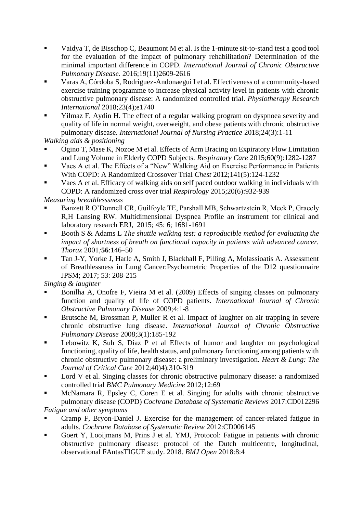- Vaidya T, de Bisschop C, Beaumont M et al. Is the 1-minute sit-to-stand test a good tool for the evaluation of the impact of pulmonary rehabilitation? Determination of the minimal important difference in COPD. *International Journal of Chronic Obstructive Pulmonary Disease*. 2016;19(11)2609-2616
- Varas A, Córdoba S, Rodríguez-Andonaegui I et al. Effectiveness of a community-based exercise training programme to increase physical activity level in patients with chronic obstructive pulmonary disease: A randomized controlled trial. *Physiotherapy Research International* 2018;23(4);e1740
- Yilmaz F, Aydin H. The effect of a regular walking program on dyspnoea severity and quality of life in normal weight, overweight, and obese patients with chronic obstructive pulmonary disease*. International Journal of Nursing Practice* 2018;24(3):1-11

*Walking aids & positioning*

- Ogino T, Mase K, Nozoe M et al. Effects of Arm Bracing on Expiratory Flow Limitation and Lung Volume in Elderly COPD Subjects. *Respiratory Care* 2015;60(9):1282-1287
- Vaes A et al. The Effects of a "New" Walking Aid on Exercise Performance in Patients With COPD: A Randomized Crossover Trial *Chest* 2012;141(5):124-1232
- Vaes A et al. Efficacy of walking aids on self paced outdoor walking in individuals with COPD: A randomized cross over trial *Respirology* 2015;20(6):932-939

*Measuring breathlesssness* 

- Banzett R O'Donnell CR, Guilfoyle TE, Parshall MB, Schwartzstein R, Meek P, Gracely R,H Lansing RW. Multidimensional Dyspnea Profile an instrument for clinical and laboratory research ERJ, 2015; 45: 6; 1681-1691
- Booth S & Adams L *The shuttle walking test: a reproducible method for evaluating the impact of shortness of breath on functional capacity in patients with advanced cancer. Thorax* 2001*;***56**:146–50
- Tan J-Y, Yorke J, Harle A, Smith J, Blackhall F, Pilling A, Molassioatis A. Assessment of Breathlessness in Lung Cancer:Psychometric Properties of the D12 questionnaire JPSM; 2017; 53: 208-215

*Singing & laughter*

- Bonilha A, Onofre F, Vieira M et al. (2009) Effects of singing classes on pulmonary function and quality of life of COPD patients. *International Journal of Chronic Obstructive Pulmonary Disease* 2009;4:1-8
- Brutsche M, Brossman P, Muller R et al. Impact of laughter on air trapping in severe chronic obstructive lung disease. *International Journal of Chronic Obstructive Pulmonary Disease* 2008;3(1):185-192
- Lebowitz K, Suh S, Diaz P et al Effects of humor and laughter on psychological functioning, quality of life, health status, and pulmonary functioning among patients with chronic obstructive pulmonary disease: a preliminary investigation. *Heart & Lung: The Journal of Critical Care* 2012;40)4):310-319
- Lord V et al. Singing classes for chronic obstructive pulmonary disease: a randomized controlled trial *BMC Pulmonary Medicine* 2012;12:69
- McNamara R, Epsley C, Coren E et al. Singing for adults with chronic obstructive pulmonary disease (COPD) *Cochrane Database of Systematic Reviews* 2017:CD012296

*Fatigue and other symptoms*

- Cramp F, Bryon-Daniel J. Exercise for the management of cancer-related fatigue in adults. *Cochrane Database of Systematic Review* 2012:CD006145
- Goert Y, Looijmans M, Prins J et al. YMJ, Protocol: Fatigue in patients with chronic obstructive pulmonary disease: protocol of the Dutch multicentre, longitudinal, observational FAntasTIGUE study. 2018. *BMJ Open* 2018:8:4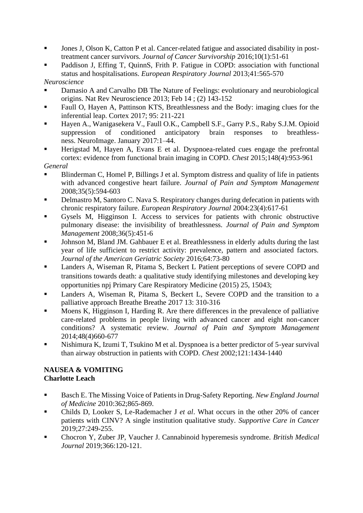- Jones J, Olson K, Catton P et al. Cancer-related fatigue and associated disability in posttreatment cancer survivors. *Journal of Cancer Survivorship* 2016;10(1):51-61
- Paddison J, Effing T, QuinnS, Frith P. Fatigue in COPD: association with functional status and hospitalisations. *European Respiratory Journal* 2013;41:565-570

*Neuroscience*

- Damasio A and Carvalho DB The Nature of Feelings: evolutionary and neurobiological origins. Nat Rev Neuroscience 2013; Feb 14 ; (2) 143-152
- Faull O, Hayen A, Pattinson KTS, Breathlessness and the Body: imaging clues for the inferential leap. Cortex 2017; 95: 211-221
- Hayen A., Wanigasekera V., Faull O.K., Campbell S.F., Garry P.S., Raby S.J.M. Opioid suppression of conditioned anticipatory brain responses to breathlessness. NeuroImage. January 2017:1–44.
- Herigstad M, Hayen A, Evans E et al. Dyspnoea-related cues engage the prefrontal cortex: evidence from functional brain imaging in COPD. *Chest* 2015;148(4):953-961

*General* 

- Blinderman C, Homel P, Billings J et al. Symptom distress and quality of life in patients with advanced congestive heart failure. *Journal of Pain and Symptom Management* 2008;35(5):594-603
- Delmastro M, Santoro C. Nava S. Respiratory changes during defecation in patients with [chronic respiratory failure.](https://hdas.nice.org.uk/strategy/533684/18/Medline/15083764) *European Respiratory Journal* 2004:23(4):617-61
- Gysels M, Higginson I. Access to services for patients with chronic obstructive pulmonary disease: the invisibility of breathlessness. *Journal of Pain and Symptom Management* 2008;36(5):451-6
- Johnson M, Bland JM. Gahbauer E et al. Breathlessness in elderly adults during the last year of life sufficient to restrict activity: prevalence, pattern and associated factors. *Journal of the American Geriatric Society* 2016;64:73-80
- Landers A, Wiseman R, Pitama S, Beckert L Patient perceptions of severe COPD and transitions towards death: a qualitative study identifying milestones and developing key opportunities npj Primary Care Respiratory Medicine (2015) 25, 15043;
- Landers A, Wiseman R, Pitama S, Beckert L, Severe COPD and the transition to a palliative approach Breathe Breathe 2017 13: 310-316
- Moens K, Higginson I, Harding R. Are there differences in the prevalence of palliative care-related problems in people living with advanced cancer and eight non-cancer conditions? A systematic review. *Journal of Pain and Symptom Management*  2014;48(4)660-677
- Nishimura K, Izumi T, Tsukino M et al. Dyspnoea is a better predictor of 5-year survival than airway obstruction in patients with COPD. *Chest* 2002;121:1434-1440

#### **NAUSEA & VOMITING Charlotte Leach**

- Basch E. The Missing Voice of Patients in Drug-Safety Reporting. *New England Journal of Medicine* 2010:362;865-869.
- Childs D, Looker S, Le-Rademacher J *et al*. What occurs in the other 20% of cancer patients with CINV? A single institution qualitative study. *Supportive Care in Cancer*  2019;27:249-255.
- Chocron Y, Zuber JP, Vaucher J. Cannabinoid hyperemesis syndrome. *British Medical Journal* 2019;366:120-121.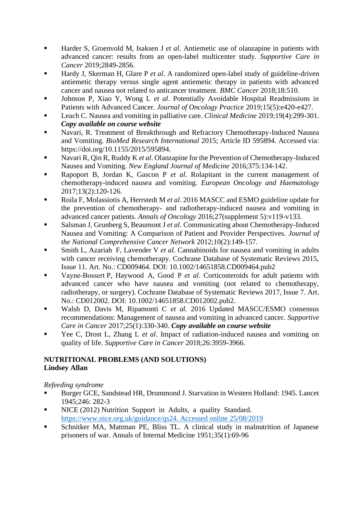- Harder S, Groenvold M, Isaksen J *et al.* Antiemetic use of olanzapine in patients with advanced cancer: results from an open-label multicenter study. *Supportive Care in Cancer* 2019;2849-2856.
- Hardy J, Skerman H, Glare P et al. A randomized open-label study of guideline-driven antiemetic therapy versus single agent antiemetic therapy in patients with advanced cancer and nausea not related to anticancer treatment. *BMC Cancer* 2018;18:510.
- Johnson P, Xiao Y, Wong L *et al.* Potentially Avoidable Hospital Readmissions in Patients with Advanced Cancer. *Journal of Oncology Practice* 2019;15(5):e420-e427.
- Leach C. Nausea and vomiting in palliative care. *Clinical Medicine* 2019;19(4):299-301. *Copy available on course website*
- Navari, R. Treatment of Breakthrough and Refractory Chemotherapy-Induced Nausea and Vomiting. *BioMed Research International* 2015; Article ID 595894. Accessed via: https://doi.org/10.1155/2015/595894.
- Navari R, Qin R, Ruddy K *et al.* Olanzapine for the Prevention of Chemotherapy-Induced Nausea and Vomiting. *New England Journal of Medicine* 2016;375:134-142.
- Rapoport B, Jordan K, Gascon P et al. Rolapitant in the current management of chemotherapy-induced nausea and vomiting. *European Oncology and Haematology* 2017;13(2):120-126.
- Roila F, Molassiotis A, Herrstedt M *et al.* 2016 MASCC and ESMO guideline update for the prevention of chemotherapy- and radiotherapy-induced nausea and vomiting in advanced cancer patients. *Annals of Oncology* 2016;27(supplement 5):v119-v133.
- Salsman J, Grunberg S, Beaumont J *et al.* Communicating about Chemotherapy-Induced Nausea and Vomiting: A Comparison of Patient and Provider Perspectives. *Journal of the National Comprehensive Cancer Network* 2012;10(2):149-157.
- Smith L, Azariah F, Lavender V *et al.* Cannabinoids for nausea and vomiting in adults with cancer receiving chemotherapy. Cochrane Database of Systematic Reviews 2015, Issue 11. Art. No.: CD009464. DOI: 10.1002/14651858.CD009464.pub2
- Vayne-Bossert P, Haywood A, Good P *et al.* Corticosteroids for adult patients with advanced cancer who have nausea and vomiting (not related to chemotherapy, radiotherapy, or surgery). Cochrane Database of Systematic Reviews 2017, Issue 7. Art. No.: CD012002. DOI: 10.1002/14651858.CD012002.pub2.
- Walsh D, Davis M, Ripamonti C et al. 2016 Updated MASCC/ESMO consensus recommendations: Management of nausea and vomiting in advanced cancer. *Supportive Care in Cancer* 2017;25(1):330-340. *Copy available on course website*
- Yee C, Drost L, Zhang L *et al.* Impact of radiation-induced nausea and vomiting on quality of life. *Supportive Care in Cancer* 2018;26:3959-3966.

# **NUTRITIONAL PROBLEMS (AND SOLUTIONS) Lindsey Allan**

*Refeeding syndrome*

- Burger GCE, Sandstead HR, Drummond J. Starvation in Western Holland: 1945. Lancet 1945;246: 282-3
- NICE (2012) Nutrition Support in Adults, a quality Standard. [https://www.nice.org.uk/guidance/qs24. Accessed online 25/08/2019](https://www.nice.org.uk/guidance/qs24.%20Accessed%20online%2025/08/2019)
- Schnitker MA, Mattman PE, Bliss TL. A clinical study in malnutrition of Japanese prisoners of war. Annals of Internal Medicine 1951;35(1):69-96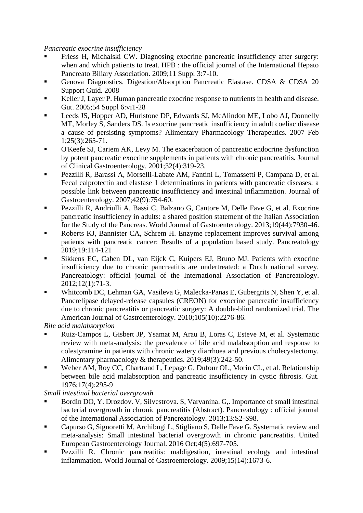*Pancreatic exocrine insufficiency*

- Friess H, Michalski CW. Diagnosing exocrine pancreatic insufficiency after surgery: when and which patients to treat. HPB : the official journal of the International Hepato Pancreato Biliary Association. 2009;11 Suppl 3:7-10.
- Genova Diagnostics. Digestion/Absorption Pancreatic Elastase. CDSA & CDSA 20 Support Guid. 2008
- Keller J, Layer P. Human pancreatic exocrine response to nutrients in health and disease. Gut. 2005;54 Suppl 6:vi1-28
- Leeds JS, Hopper AD, Hurlstone DP, Edwards SJ, McAlindon ME, Lobo AJ, Donnelly MT, Morley S, Sanders DS. Is exocrine pancreatic insufficiency in adult coeliac disease a cause of persisting symptoms? Alimentary Pharmacology Therapeutics. 2007 Feb 1;25(3):265-71.
- O'Keefe SJ, Cariem AK, Levy M. The exacerbation of pancreatic endocrine dysfunction by potent pancreatic exocrine supplements in patients with chronic pancreatitis. Journal of Clinical Gastroenterology. 2001;32(4):319-23.
- Pezzilli R, Barassi A, Morselli-Labate AM, Fantini L, Tomassetti P, Campana D, et al. Fecal calprotectin and elastase 1 determinations in patients with pancreatic diseases: a possible link between pancreatic insufficiency and intestinal inflammation. Journal of Gastroenterology. 2007;42(9):754-60.
- Pezzilli R, Andriulli A, Bassi C, Balzano G, Cantore M, Delle Fave G, et al. Exocrine pancreatic insufficiency in adults: a shared position statement of the Italian Association for the Study of the Pancreas. World Journal of Gastroenterology. 2013;19(44):7930-46.
- Roberts KJ, Bannister CA, Schrem H. Enzyme replacement improves survival among patients with pancreatic cancer: Results of a population based study. Pancreatology 2019;19:114-121
- Sikkens EC, Cahen DL, van Eijck C, Kuipers EJ, Bruno MJ. Patients with exocrine insufficiency due to chronic pancreatitis are undertreated: a Dutch national survey. Pancreatology: official journal of the International Association of Pancreatology. 2012;12(1):71-3.
- Whitcomb DC, Lehman GA, Vasileva G, Malecka-Panas E, Gubergrits N, Shen Y, et al. Pancrelipase delayed-release capsules (CREON) for exocrine pancreatic insufficiency due to chronic pancreatitis or pancreatic surgery: A double-blind randomized trial. The American Journal of Gastroenterology. 2010;105(10):2276-86.

*Bile acid malabsorption*

- Ruiz-Campos L, Gisbert JP, Ysamat M, Arau B, Loras C, Esteve M, et al. Systematic review with meta-analysis: the prevalence of bile acid malabsorption and response to colestyramine in patients with chronic watery diarrhoea and previous cholecystectomy. Alimentary pharmacology & therapeutics. 2019;49(3):242-50.
- Weber AM, Roy CC, Chartrand L, Lepage G, Dufour OL, Morin CL, et al. Relationship between bile acid malabsorption and pancreatic insufficiency in cystic fibrosis. Gut. 1976;17(4):295-9

*Small intestinal bacterial overgrowth*

- Bordin DO, Y. Drozdov. V, Silvestrova. S, Varvanina. G,. Importance of small intestinal bacterial overgrowth in chronic pancreatitis (Abstract). Pancreatology : official journal of the International Association of Pancreatology. 2013;13:S2-S98.
- Capurso G, Signoretti M, Archibugi L, Stigliano S, Delle Fave G. Systematic review and meta-analysis: Small intestinal bacterial overgrowth in chronic pancreatitis. United European Gastroenterology Journal. 2016 Oct;4(5):697-705.
- Pezzilli R. Chronic pancreatitis: maldigestion, intestinal ecology and intestinal inflammation. World Journal of Gastroenterology. 2009;15(14):1673-6.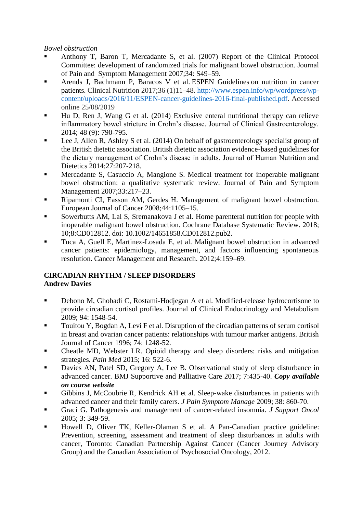#### *Bowel obstruction*

- Anthony T, Baron T, Mercadante S, et al. (2007) Report of the Clinical Protocol Committee: development of randomized trials for malignant bowel obstruction. Journal of Pain and Symptom Management 2007;34: S49–59.
- Arends J, Bachmann P, Baracos V et al. ESPEN Guidelines on nutrition in cancer patients. Clinical Nutrition 2017;36 (1)11–48. [http://www.espen.info/wp/wordpress/wp](http://www.espen.info/wp/wordpress/wp-content/uploads/2016/11/ESPEN-cancer-guidelines-2016-final-published.pdf)[content/uploads/2016/11/ESPEN-cancer-guidelines-2016-final-published.pdf.](http://www.espen.info/wp/wordpress/wp-content/uploads/2016/11/ESPEN-cancer-guidelines-2016-final-published.pdf) Accessed online 25/08/2019
- Hu D, Ren J, Wang G et al.  $(2014)$  Exclusive enteral nutritional therapy can relieve inflammatory bowel stricture in Crohn's disease. Journal of Clinical Gastroenterology. 2014; 48 (9): 790-795.
- Lee J, Allen R, Ashley S et al. (2014) On behalf of gastroenterology specialist group of the British dietetic association. British dietetic association evidence-based guidelines for the dietary management of Crohn's disease in adults. Journal of Human Nutrition and Dietetics 2014;27:207-218.
- Mercadante S, Casuccio A, Mangione S. Medical treatment for inoperable malignant bowel obstruction: a qualitative systematic review. Journal of Pain and Symptom Management 2007;33:217–23.
- Ripamonti CI, Easson AM, Gerdes H. Management of malignant bowel obstruction. European Journal of Cancer 2008;44:1105–15.
- Sowerbutts AM, Lal S, Sremanakova J et al. Home parenteral nutrition for people with inoperable malignant bowel obstruction. Cochrane Database Systematic Review. 2018; 10;8:CD012812. doi: 10.1002/14651858.CD012812.pub2.
- Tuca A, Guell E, Martinez-Losada E, et al. Malignant bowel obstruction in advanced cancer patients: epidemiology, management, and factors influencing spontaneous resolution. Cancer Management and Research. 2012;4:159–69.

#### **CIRCADIAN RHYTHM / SLEEP DISORDERS Andrew Davies**

- Debono M, Ghobadi C, Rostami-Hodjegan A et al. Modified-release hydrocortisone to provide circadian cortisol profiles. Journal of Clinical Endocrinology and Metabolism 2009; 94: 1548-54.
- Touitou Y, Bogdan A, Levi F et al. Disruption of the circadian patterns of serum cortisol in breast and ovarian cancer patients: relationships with tumour marker antigens. British Journal of Cancer 1996; 74: 1248-52.
- Cheatle MD, Webster LR. Opioid therapy and sleep disorders: risks and mitigation strategies. *Pain Med* 2015; 16: 522-6.
- Davies AN, Patel SD, Gregory A, Lee B. Observational study of sleep disturbance in advanced cancer. BMJ Supportive and Palliative Care 2017; 7:435-40. *Copy available on course website*
- Gibbins J, McCoubrie R, Kendrick AH et al. Sleep-wake disturbances in patients with advanced cancer and their family carers. *J Pain Symptom Manage* 2009; 38: 860-70.
- Graci G. Pathogenesis and management of cancer-related insomnia. *J Support Oncol* 2005; 3: 349-59.
- Howell D, Oliver TK, Keller-Olaman S et al. A Pan-Canadian practice guideline: Prevention, screening, assessment and treatment of sleep disturbances in adults with cancer, Toronto: Canadian Partnership Against Cancer (Cancer Journey Advisory Group) and the Canadian Association of Psychosocial Oncology, 2012.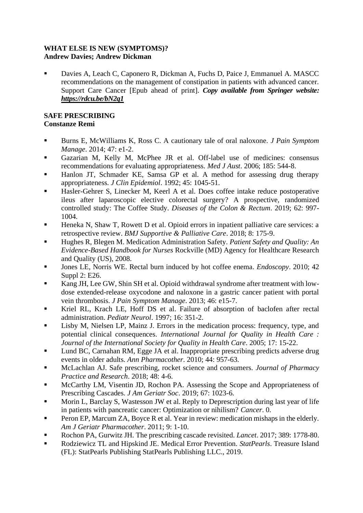#### **WHAT ELSE IS NEW (SYMPTOMS)? Andrew Davies; Andrew Dickman**

**• Davies A, Leach C, Caponero R, Dickman A, Fuchs D, Paice J, Emmanuel A. MASCC** recommendations on the management of constipation in patients with advanced cancer. Support Care Cancer [Epub ahead of print]. *Copy available from Springer website: <https://rdcu.be/bN2q1>*

# **SAFE PRESCRIBING Constanze Remi**

- Burns E, McWilliams K, Ross C. A cautionary tale of oral naloxone. *J Pain Symptom Manage*. 2014; 47: e1-2.
- Gazarian M, Kelly M, McPhee JR et al. Off-label use of medicines: consensus recommendations for evaluating appropriateness. *Med J Aust*. 2006; 185: 544-8.
- Hanlon JT, Schmader KE, Samsa GP et al. A method for assessing drug therapy appropriateness. *J Clin Epidemiol*. 1992; 45: 1045-51.
- Hasler-Gehrer S, Linecker M, Keerl A et al. Does coffee intake reduce postoperative ileus after laparoscopic elective colorectal surgery? A prospective, randomized controlled study: The Coffee Study. *Diseases of the Colon & Rectum*. 2019; 62: 997- 1004.
- Heneka N, Shaw T, Rowett D et al. Opioid errors in inpatient palliative care services: a retrospective review. *BMJ Supportive & Palliative Care*. 2018; 8: 175-9.
- Hughes R, Blegen M. Medication Administration Safety. *Patient Safety and Quality: An Evidence-Based Handbook for Nurses* Rockville (MD) Agency for Healthcare Research and Quality (US), 2008.
- Jones LE, Norris WE. Rectal burn induced by hot coffee enema. *Endoscopy*. 2010; 42 Suppl 2: E26.
- Kang JH, Lee GW, Shin SH et al. Opioid withdrawal syndrome after treatment with lowdose extended-release oxycodone and naloxone in a gastric cancer patient with portal vein thrombosis. *J Pain Symptom Manage*. 2013; 46: e15-7.
- Kriel RL, Krach LE, Hoff DS et al. Failure of absorption of baclofen after rectal administration. *Pediatr Neurol*. 1997; 16: 351-2.
- Lisby M, Nielsen LP, Mainz J. Errors in the medication process: frequency, type, and potential clinical consequences. *International Journal for Quality in Health Care : Journal of the International Society for Quality in Health Care*. 2005; 17: 15-22.
- Lund BC, Carnahan RM, Egge JA et al. Inappropriate prescribing predicts adverse drug events in older adults. *Ann Pharmacother*. 2010; 44: 957-63.
- McLachlan AJ. Safe prescribing, rocket science and consumers. *Journal of Pharmacy Practice and Research*. 2018; 48: 4-6.
- McCarthy LM, Visentin JD, Rochon PA. Assessing the Scope and Appropriateness of Prescribing Cascades. *J Am Geriatr Soc*. 2019; 67: 1023-6.
- Morin L, Barclay S, Wastesson JW et al. Reply to Deprescription during last year of life in patients with pancreatic cancer: Optimization or nihilism? *Cancer*. 0.
- Peron EP, Marcum ZA, Boyce R et al. Year in review: medication mishaps in the elderly. *Am J Geriatr Pharmacother*. 2011; 9: 1-10.
- Rochon PA, Gurwitz JH. The prescribing cascade revisited. *Lancet*. 2017; 389: 1778-80.
- Rodziewicz TL and Hipskind JE. Medical Error Prevention. *StatPearls*. Treasure Island (FL): StatPearls Publishing StatPearls Publishing LLC., 2019.